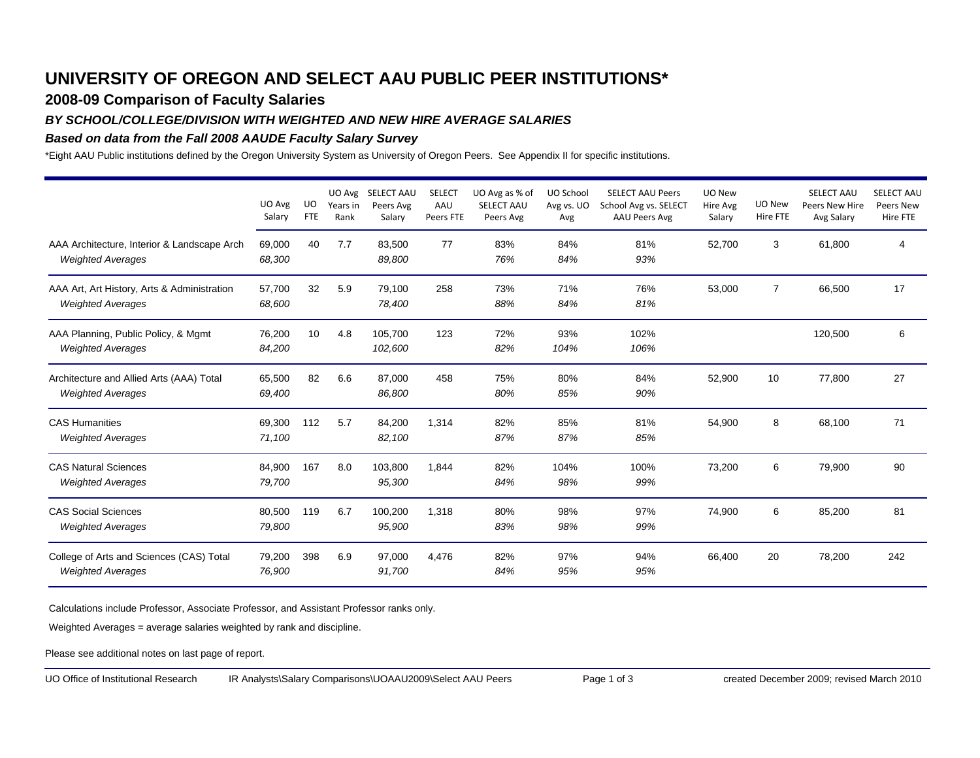# **UNIVERSITY OF OREGON AND SELECT AAU PUBLIC PEER INSTITUTIONS\***

## **2008-09 Comparison of Faculty Salaries**

### *BY SCHOOL/COLLEGE/DIVISION WITH WEIGHTED AND NEW HIRE AVERAGE SALARIES*

### *Based on data from the Fall 2008 AAUDE Faculty Salary Survey*

\*Eight AAU Public institutions defined by the Oregon University System as University of Oregon Peers. See Appendix II for specific institutions.

|                                                                         | UO Avg<br>Salary | UO<br><b>FTE</b> | UO Avg<br>Years in<br>Rank | <b>SELECT AAU</b><br>Peers Avg<br>Salary | <b>SELECT</b><br>AAU<br>Peers FTE | UO Avg as % of<br>SELECT AAU<br>Peers Avg | UO School<br>Avg vs. UO<br>Avg | <b>SELECT AAU Peers</b><br>School Avg vs. SELECT<br>AAU Peers Avg | UO New<br>Hire Avg<br>Salary | UO New<br>Hire FTE | <b>SELECT AAU</b><br>Peers New Hire<br>Avg Salary | <b>SELECT AAU</b><br>Peers New<br>Hire FTE |
|-------------------------------------------------------------------------|------------------|------------------|----------------------------|------------------------------------------|-----------------------------------|-------------------------------------------|--------------------------------|-------------------------------------------------------------------|------------------------------|--------------------|---------------------------------------------------|--------------------------------------------|
| AAA Architecture, Interior & Landscape Arch<br><b>Weighted Averages</b> | 69.000<br>68,300 | 40               | 7.7                        | 83,500<br>89,800                         | 77                                | 83%<br>76%                                | 84%<br>84%                     | 81%<br>93%                                                        | 52,700                       | 3                  | 61,800                                            | 4                                          |
| AAA Art, Art History, Arts & Administration<br><b>Weighted Averages</b> | 57,700<br>68,600 | 32               | 5.9                        | 79,100<br>78,400                         | 258                               | 73%<br>88%                                | 71%<br>84%                     | 76%<br>81%                                                        | 53,000                       | $\overline{7}$     | 66,500                                            | 17                                         |
| AAA Planning, Public Policy, & Mgmt<br><b>Weighted Averages</b>         | 76,200<br>84,200 | 10               | 4.8                        | 105,700<br>102,600                       | 123                               | 72%<br>82%                                | 93%<br>104%                    | 102%<br>106%                                                      |                              |                    | 120,500                                           | 6                                          |
| Architecture and Allied Arts (AAA) Total<br><b>Weighted Averages</b>    | 65,500<br>69,400 | 82               | 6.6                        | 87,000<br>86,800                         | 458                               | 75%<br>80%                                | 80%<br>85%                     | 84%<br>90%                                                        | 52,900                       | 10                 | 77,800                                            | 27                                         |
| <b>CAS Humanities</b><br><b>Weighted Averages</b>                       | 69,300<br>71,100 | 112              | 5.7                        | 84,200<br>82,100                         | 1,314                             | 82%<br>87%                                | 85%<br>87%                     | 81%<br>85%                                                        | 54,900                       | 8                  | 68,100                                            | 71                                         |
| <b>CAS Natural Sciences</b><br><b>Weighted Averages</b>                 | 84,900<br>79,700 | 167              | 8.0                        | 103,800<br>95,300                        | 1.844                             | 82%<br>84%                                | 104%<br>98%                    | 100%<br>99%                                                       | 73,200                       | 6                  | 79,900                                            | 90                                         |
| <b>CAS Social Sciences</b><br><b>Weighted Averages</b>                  | 80,500<br>79,800 | 119              | 6.7                        | 100,200<br>95,900                        | 1,318                             | 80%<br>83%                                | 98%<br>98%                     | 97%<br>99%                                                        | 74,900                       | 6                  | 85,200                                            | 81                                         |
| College of Arts and Sciences (CAS) Total<br><b>Weighted Averages</b>    | 79,200<br>76,900 | 398              | 6.9                        | 97,000<br>91,700                         | 4,476                             | 82%<br>84%                                | 97%<br>95%                     | 94%<br>95%                                                        | 66,400                       | 20                 | 78,200                                            | 242                                        |

Calculations include Professor, Associate Professor, and Assistant Professor ranks only.

Weighted Averages = average salaries weighted by rank and discipline.

Please see additional notes on last page of report.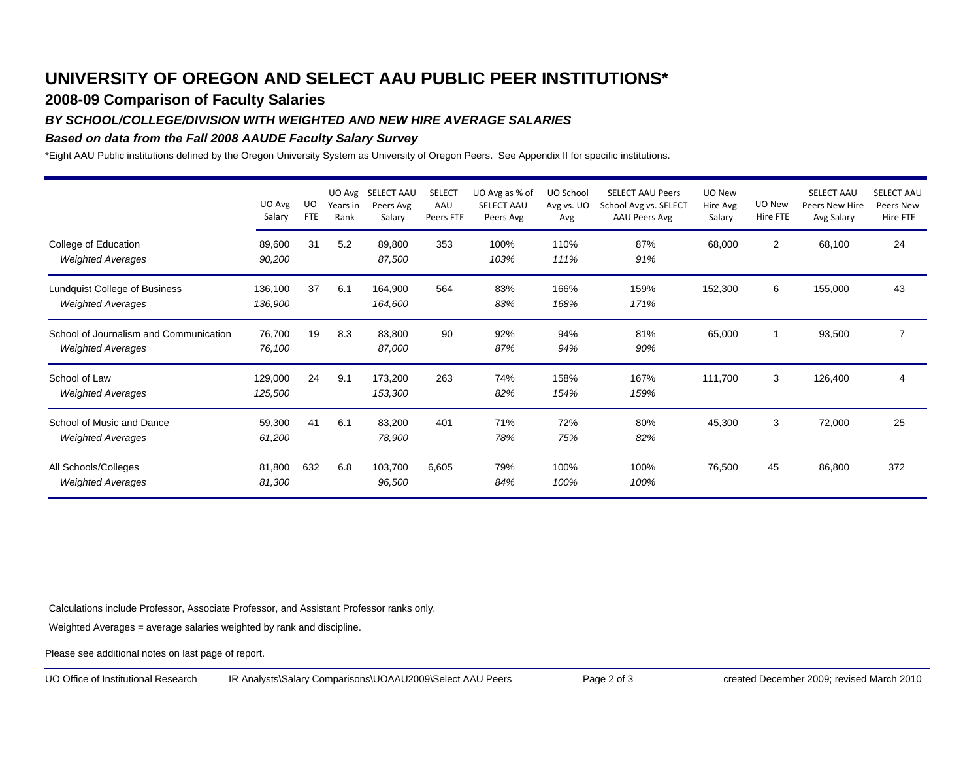# **UNIVERSITY OF OREGON AND SELECT AAU PUBLIC PEER INSTITUTIONS\***

## **2008-09 Comparison of Faculty Salaries**

#### *BY SCHOOL/COLLEGE/DIVISION WITH WEIGHTED AND NEW HIRE AVERAGE SALARIES*

#### *Based on data from the Fall 2008 AAUDE Faculty Salary Survey*

\*Eight AAU Public institutions defined by the Oregon University System as University of Oregon Peers. See Appendix II for specific institutions.

|                                                                    | UO Avg<br>Salary   | UO<br><b>FTE</b> | Years in<br>Rank | UO Avg SELECT AAU<br>Peers Avg<br>Salary | <b>SELECT</b><br>AAU<br>Peers FTE | UO Avg as % of<br>SELECT AAU<br>Peers Avg | UO School<br>Avg vs. UO<br>Avg | <b>SELECT AAU Peers</b><br>School Avg vs. SELECT<br>AAU Peers Avg | UO New<br>Hire Avg<br>Salary | UO New<br>Hire FTE | <b>SELECT AAU</b><br>Peers New Hire<br>Avg Salary | <b>SELECT AAU</b><br>Peers New<br>Hire FTE |
|--------------------------------------------------------------------|--------------------|------------------|------------------|------------------------------------------|-----------------------------------|-------------------------------------------|--------------------------------|-------------------------------------------------------------------|------------------------------|--------------------|---------------------------------------------------|--------------------------------------------|
| College of Education<br><b>Weighted Averages</b>                   | 89,600<br>90,200   | 31               | 5.2              | 89,800<br>87,500                         | 353                               | 100%<br>103%                              | 110%<br>111%                   | 87%<br>91%                                                        | 68,000                       | $\overline{2}$     | 68,100                                            | 24                                         |
| Lundquist College of Business<br><b>Weighted Averages</b>          | 136,100<br>136,900 | 37               | 6.1              | 164,900<br>164,600                       | 564                               | 83%<br>83%                                | 166%<br>168%                   | 159%<br>171%                                                      | 152,300                      | 6                  | 155,000                                           | 43                                         |
| School of Journalism and Communication<br><b>Weighted Averages</b> | 76,700<br>76,100   | 19               | 8.3              | 83,800<br>87,000                         | 90                                | 92%<br>87%                                | 94%<br>94%                     | 81%<br>90%                                                        | 65,000                       |                    | 93,500                                            | 7                                          |
| School of Law<br><b>Weighted Averages</b>                          | 129,000<br>125,500 | 24               | 9.1              | 173,200<br>153,300                       | 263                               | 74%<br>82%                                | 158%<br>154%                   | 167%<br>159%                                                      | 111,700                      | 3                  | 126,400                                           | $\overline{4}$                             |
| School of Music and Dance<br><b>Weighted Averages</b>              | 59,300<br>61,200   | 41               | 6.1              | 83,200<br>78,900                         | 401                               | 71%<br>78%                                | 72%<br>75%                     | 80%<br>82%                                                        | 45,300                       | 3                  | 72,000                                            | 25                                         |
| All Schools/Colleges<br><b>Weighted Averages</b>                   | 81,800<br>81,300   | 632              | 6.8              | 103,700<br>96,500                        | 6,605                             | 79%<br>84%                                | 100%<br>100%                   | 100%<br>100%                                                      | 76,500                       | 45                 | 86,800                                            | 372                                        |

Calculations include Professor, Associate Professor, and Assistant Professor ranks only.

Weighted Averages = average salaries weighted by rank and discipline.

Please see additional notes on last page of report.